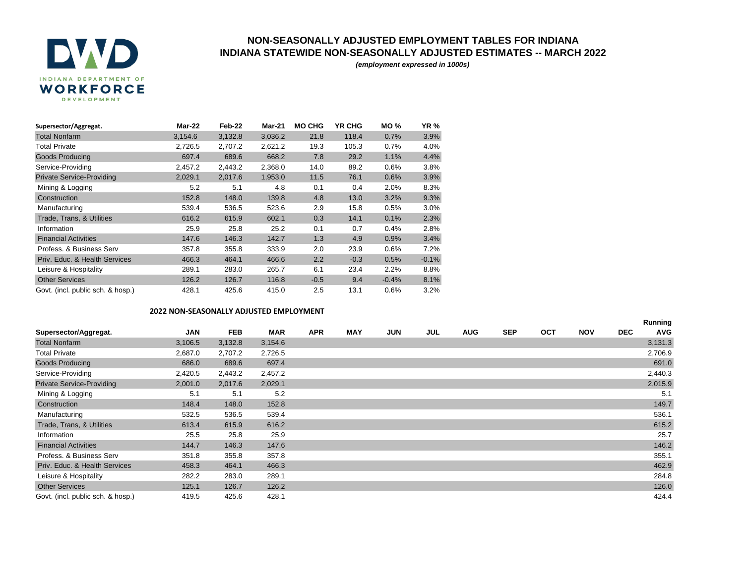

## **NON-SEASONALLY ADJUSTED EMPLOYMENT TABLES FOR INDIANA INDIANA STATEWIDE NON-SEASONALLY ADJUSTED ESTIMATES -- MARCH 2022**

*(employment expressed in 1000s)*

| Supersector/Aggregat.             | Mar-22  | Feb-22  | <b>Mar-21</b> | <b>MO CHG</b> | <b>YR CHG</b> | <b>MO %</b> | <b>YR%</b> |
|-----------------------------------|---------|---------|---------------|---------------|---------------|-------------|------------|
| <b>Total Nonfarm</b>              | 3,154.6 | 3,132.8 | 3,036.2       | 21.8          | 118.4         | 0.7%        | 3.9%       |
| <b>Total Private</b>              | 2,726.5 | 2,707.2 | 2,621.2       | 19.3          | 105.3         | 0.7%        | 4.0%       |
| <b>Goods Producing</b>            | 697.4   | 689.6   | 668.2         | 7.8           | 29.2          | 1.1%        | 4.4%       |
| Service-Providing                 | 2,457.2 | 2,443.2 | 2,368.0       | 14.0          | 89.2          | 0.6%        | 3.8%       |
| <b>Private Service-Providing</b>  | 2,029.1 | 2,017.6 | 1,953.0       | 11.5          | 76.1          | 0.6%        | 3.9%       |
| Mining & Logging                  | 5.2     | 5.1     | 4.8           | 0.1           | 0.4           | 2.0%        | 8.3%       |
| Construction                      | 152.8   | 148.0   | 139.8         | 4.8           | 13.0          | 3.2%        | 9.3%       |
| Manufacturing                     | 539.4   | 536.5   | 523.6         | 2.9           | 15.8          | 0.5%        | 3.0%       |
| Trade, Trans, & Utilities         | 616.2   | 615.9   | 602.1         | 0.3           | 14.1          | 0.1%        | 2.3%       |
| Information                       | 25.9    | 25.8    | 25.2          | 0.1           | 0.7           | 0.4%        | 2.8%       |
| <b>Financial Activities</b>       | 147.6   | 146.3   | 142.7         | 1.3           | 4.9           | 0.9%        | 3.4%       |
| Profess, & Business Serv          | 357.8   | 355.8   | 333.9         | 2.0           | 23.9          | 0.6%        | 7.2%       |
| Priv. Educ. & Health Services     | 466.3   | 464.1   | 466.6         | 2.2           | $-0.3$        | 0.5%        | $-0.1%$    |
| Leisure & Hospitality             | 289.1   | 283.0   | 265.7         | 6.1           | 23.4          | 2.2%        | 8.8%       |
| <b>Other Services</b>             | 126.2   | 126.7   | 116.8         | $-0.5$        | 9.4           | $-0.4%$     | 8.1%       |
| Govt. (incl. public sch. & hosp.) | 428.1   | 425.6   | 415.0         | 2.5           | 13.1          | 0.6%        | 3.2%       |

## **2022 NON-SEASONALLY ADJUSTED EMPLOYMENT**

|                                   |         |            |            |            |            |            |     |            |            |            |            |            | Running    |
|-----------------------------------|---------|------------|------------|------------|------------|------------|-----|------------|------------|------------|------------|------------|------------|
| Supersector/Aggregat.             | JAN     | <b>FEB</b> | <b>MAR</b> | <b>APR</b> | <b>MAY</b> | <b>JUN</b> | JUL | <b>AUG</b> | <b>SEP</b> | <b>OCT</b> | <b>NOV</b> | <b>DEC</b> | <b>AVG</b> |
| <b>Total Nonfarm</b>              | 3,106.5 | 3,132.8    | 3,154.6    |            |            |            |     |            |            |            |            |            | 3,131.3    |
| <b>Total Private</b>              | 2,687.0 | 2,707.2    | 2,726.5    |            |            |            |     |            |            |            |            |            | 2,706.9    |
| <b>Goods Producing</b>            | 686.0   | 689.6      | 697.4      |            |            |            |     |            |            |            |            |            | 691.0      |
| Service-Providing                 | 2,420.5 | 2,443.2    | 2,457.2    |            |            |            |     |            |            |            |            |            | 2,440.3    |
| <b>Private Service-Providing</b>  | 2,001.0 | 2,017.6    | 2,029.1    |            |            |            |     |            |            |            |            |            | 2,015.9    |
| Mining & Logging                  | 5.1     | 5.1        | 5.2        |            |            |            |     |            |            |            |            |            | 5.1        |
| Construction                      | 148.4   | 148.0      | 152.8      |            |            |            |     |            |            |            |            |            | 149.7      |
| Manufacturing                     | 532.5   | 536.5      | 539.4      |            |            |            |     |            |            |            |            |            | 536.1      |
| Trade, Trans, & Utilities         | 613.4   | 615.9      | 616.2      |            |            |            |     |            |            |            |            |            | 615.2      |
| Information                       | 25.5    | 25.8       | 25.9       |            |            |            |     |            |            |            |            |            | 25.7       |
| <b>Financial Activities</b>       | 144.7   | 146.3      | 147.6      |            |            |            |     |            |            |            |            |            | 146.2      |
| Profess, & Business Serv          | 351.8   | 355.8      | 357.8      |            |            |            |     |            |            |            |            |            | 355.1      |
| Priv. Educ. & Health Services     | 458.3   | 464.1      | 466.3      |            |            |            |     |            |            |            |            |            | 462.9      |
| Leisure & Hospitality             | 282.2   | 283.0      | 289.1      |            |            |            |     |            |            |            |            |            | 284.8      |
| <b>Other Services</b>             | 125.1   | 126.7      | 126.2      |            |            |            |     |            |            |            |            |            | 126.0      |
| Govt. (incl. public sch. & hosp.) | 419.5   | 425.6      | 428.1      |            |            |            |     |            |            |            |            |            | 424.4      |